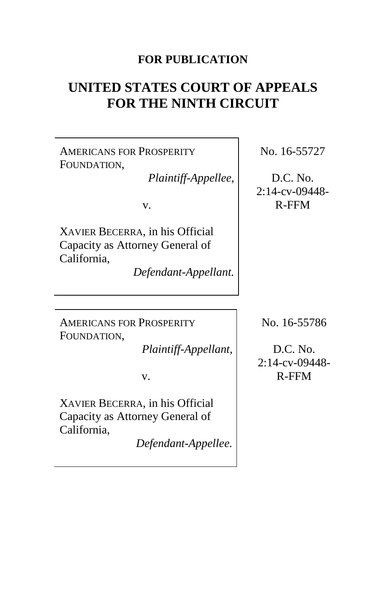## **FOR PUBLICATION**

# **UNITED STATES COURT OF APPEALS FOR THE NINTH CIRCUIT**

AMERICANS FOR PROSPERITY FOUNDATION,

*Plaintiff-Appellee*,

v.

XAVIER BECERRA, in his Official Capacity as Attorney General of California,

*Defendant-Appellant.*

No. 16-55727

D.C. No. 2:14-cv-09448- R-FFM

AMERICANS FOR PROSPERITY FOUNDATION,

*Plaintiff-Appellant*,

v.

XAVIER BECERRA, in his Official Capacity as Attorney General of California,

*Defendant-Appellee.*

No. 16-55786

D.C. No. 2:14-cv-09448- R-FFM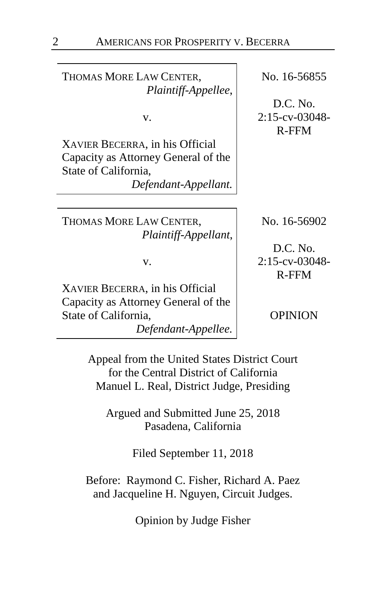THOMAS MORE LAW CENTER, *Plaintiff-Appellee*,

v.

XAVIER BECERRA, in his Official Capacity as Attorney General of the State of California,

*Defendant-Appellant.*

THOMAS MORE LAW CENTER, *Plaintiff-Appellant*,

v.

XAVIER BECERRA, in his Official Capacity as Attorney General of the State of California, *Defendant-Appellee.* No. 16-56855

D.C. No. 2:15-cv-03048- R-FFM

No. 16-56902

D.C. No. 2:15-cv-03048- R-FFM

OPINION

Appeal from the United States District Court for the Central District of California Manuel L. Real, District Judge, Presiding

Argued and Submitted June 25, 2018 Pasadena, California

Filed September 11, 2018

Before: Raymond C. Fisher, Richard A. Paez and Jacqueline H. Nguyen, Circuit Judges.

Opinion by Judge Fisher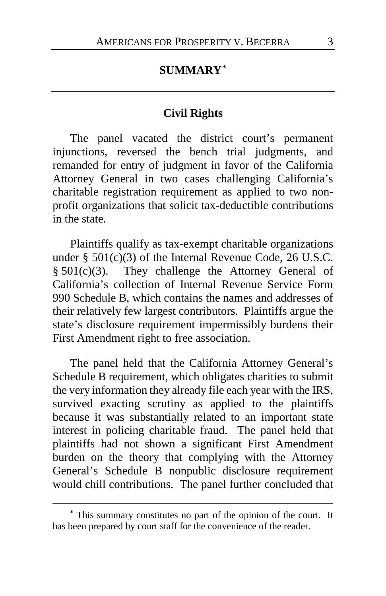## **SUMMARY[\\*](#page-2-0)**

### **Civil Rights**

The panel vacated the district court's permanent injunctions, reversed the bench trial judgments, and remanded for entry of judgment in favor of the California Attorney General in two cases challenging California's charitable registration requirement as applied to two nonprofit organizations that solicit tax-deductible contributions in the state.

Plaintiffs qualify as tax-exempt charitable organizations under § 501(c)(3) of the Internal Revenue Code, 26 U.S.C. § 501(c)(3). They challenge the Attorney General of California's collection of Internal Revenue Service Form 990 Schedule B, which contains the names and addresses of their relatively few largest contributors. Plaintiffs argue the state's disclosure requirement impermissibly burdens their First Amendment right to free association.

The panel held that the California Attorney General's Schedule B requirement, which obligates charities to submit the very information they already file each year with the IRS, survived exacting scrutiny as applied to the plaintiffs because it was substantially related to an important state interest in policing charitable fraud. The panel held that plaintiffs had not shown a significant First Amendment burden on the theory that complying with the Attorney General's Schedule B nonpublic disclosure requirement would chill contributions. The panel further concluded that

<span id="page-2-0"></span>**<sup>\*</sup>** This summary constitutes no part of the opinion of the court. It has been prepared by court staff for the convenience of the reader.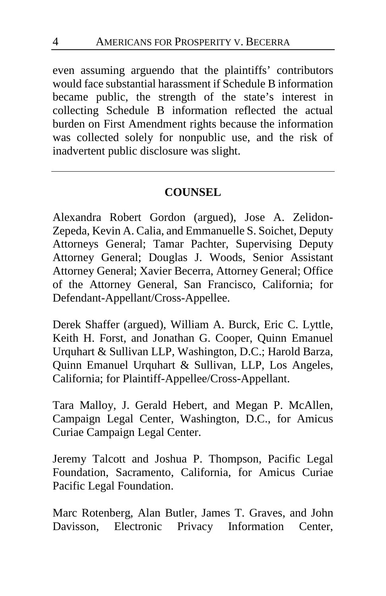even assuming arguendo that the plaintiffs' contributors would face substantial harassment if Schedule B information became public, the strength of the state's interest in collecting Schedule B information reflected the actual burden on First Amendment rights because the information was collected solely for nonpublic use, and the risk of inadvertent public disclosure was slight.

## **COUNSEL**

Alexandra Robert Gordon (argued), Jose A. Zelidon-Zepeda, Kevin A. Calia, and Emmanuelle S. Soichet, Deputy Attorneys General; Tamar Pachter, Supervising Deputy Attorney General; Douglas J. Woods, Senior Assistant Attorney General; Xavier Becerra, Attorney General; Office of the Attorney General, San Francisco, California; for Defendant-Appellant/Cross-Appellee.

Derek Shaffer (argued), William A. Burck, Eric C. Lyttle, Keith H. Forst, and Jonathan G. Cooper, Quinn Emanuel Urquhart & Sullivan LLP, Washington, D.C.; Harold Barza, Quinn Emanuel Urquhart & Sullivan, LLP, Los Angeles, California; for Plaintiff-Appellee/Cross-Appellant.

Tara Malloy, J. Gerald Hebert, and Megan P. McAllen, Campaign Legal Center, Washington, D.C., for Amicus Curiae Campaign Legal Center.

Jeremy Talcott and Joshua P. Thompson, Pacific Legal Foundation, Sacramento, California, for Amicus Curiae Pacific Legal Foundation.

Marc Rotenberg, Alan Butler, James T. Graves, and John Davisson, Electronic Privacy Information Center,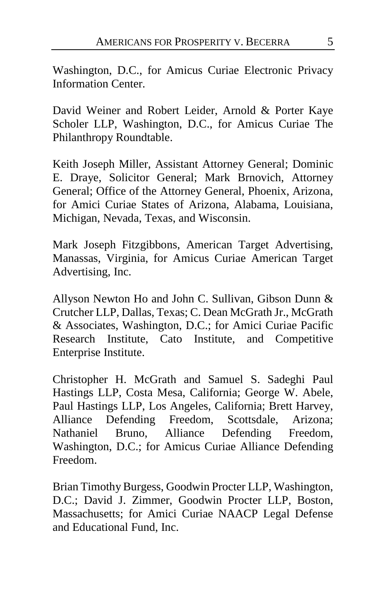Washington, D.C., for Amicus Curiae Electronic Privacy Information Center.

David Weiner and Robert Leider, Arnold & Porter Kaye Scholer LLP, Washington, D.C., for Amicus Curiae The Philanthropy Roundtable.

Keith Joseph Miller, Assistant Attorney General; Dominic E. Draye, Solicitor General; Mark Brnovich, Attorney General; Office of the Attorney General, Phoenix, Arizona, for Amici Curiae States of Arizona, Alabama, Louisiana, Michigan, Nevada, Texas, and Wisconsin.

Mark Joseph Fitzgibbons, American Target Advertising, Manassas, Virginia, for Amicus Curiae American Target Advertising, Inc.

Allyson Newton Ho and John C. Sullivan, Gibson Dunn & Crutcher LLP, Dallas, Texas; C. Dean McGrath Jr., McGrath & Associates, Washington, D.C.; for Amici Curiae Pacific Research Institute, Cato Institute, and Competitive Enterprise Institute.

Christopher H. McGrath and Samuel S. Sadeghi Paul Hastings LLP, Costa Mesa, California; George W. Abele, Paul Hastings LLP, Los Angeles, California; Brett Harvey, Alliance Defending Freedom, Scottsdale, Arizona; Nathaniel Bruno, Alliance Defending Freedom, Washington, D.C.; for Amicus Curiae Alliance Defending Freedom.

Brian Timothy Burgess, Goodwin Procter LLP, Washington, D.C.; David J. Zimmer, Goodwin Procter LLP, Boston, Massachusetts; for Amici Curiae NAACP Legal Defense and Educational Fund, Inc.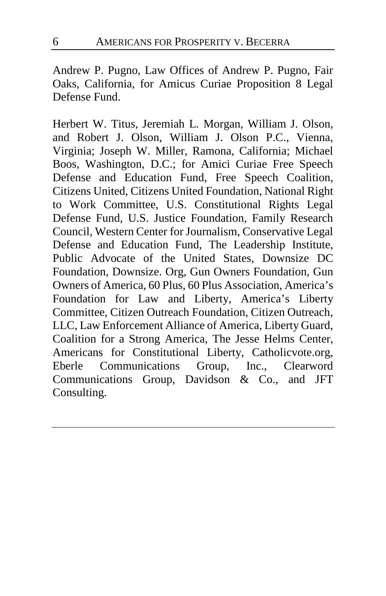Andrew P. Pugno, Law Offices of Andrew P. Pugno, Fair Oaks, California, for Amicus Curiae Proposition 8 Legal Defense Fund.

Herbert W. Titus, Jeremiah L. Morgan, William J. Olson, and Robert J. Olson, William J. Olson P.C., Vienna, Virginia; Joseph W. Miller, Ramona, California; Michael Boos, Washington, D.C.; for Amici Curiae Free Speech Defense and Education Fund, Free Speech Coalition, Citizens United, Citizens United Foundation, National Right to Work Committee, U.S. Constitutional Rights Legal Defense Fund, U.S. Justice Foundation, Family Research Council, Western Center for Journalism, Conservative Legal Defense and Education Fund, The Leadership Institute, Public Advocate of the United States, Downsize DC Foundation, Downsize. Org, Gun Owners Foundation, Gun Owners of America, 60 Plus, 60 Plus Association, America's Foundation for Law and Liberty, America's Liberty Committee, Citizen Outreach Foundation, Citizen Outreach, LLC, Law Enforcement Alliance of America, Liberty Guard, Coalition for a Strong America, The Jesse Helms Center, Americans for Constitutional Liberty, Catholicvote.org, Eberle Communications Group, Inc., Clearword Communications Group, Davidson & Co., and JFT Consulting.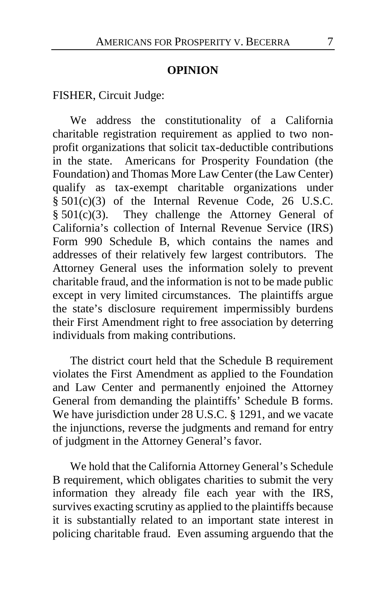### **OPINION**

FISHER, Circuit Judge:

We address the constitutionality of a California charitable registration requirement as applied to two nonprofit organizations that solicit tax-deductible contributions in the state. Americans for Prosperity Foundation (the Foundation) and Thomas More Law Center (the Law Center) qualify as tax-exempt charitable organizations under § 501(c)(3) of the Internal Revenue Code, 26 U.S.C. § 501(c)(3). They challenge the Attorney General of California's collection of Internal Revenue Service (IRS) Form 990 Schedule B, which contains the names and addresses of their relatively few largest contributors. The Attorney General uses the information solely to prevent charitable fraud, and the information is not to be made public except in very limited circumstances. The plaintiffs argue the state's disclosure requirement impermissibly burdens their First Amendment right to free association by deterring individuals from making contributions.

The district court held that the Schedule B requirement violates the First Amendment as applied to the Foundation and Law Center and permanently enjoined the Attorney General from demanding the plaintiffs' Schedule B forms. We have jurisdiction under 28 U.S.C. § 1291, and we vacate the injunctions, reverse the judgments and remand for entry of judgment in the Attorney General's favor.

We hold that the California Attorney General's Schedule B requirement, which obligates charities to submit the very information they already file each year with the IRS, survives exacting scrutiny as applied to the plaintiffs because it is substantially related to an important state interest in policing charitable fraud. Even assuming arguendo that the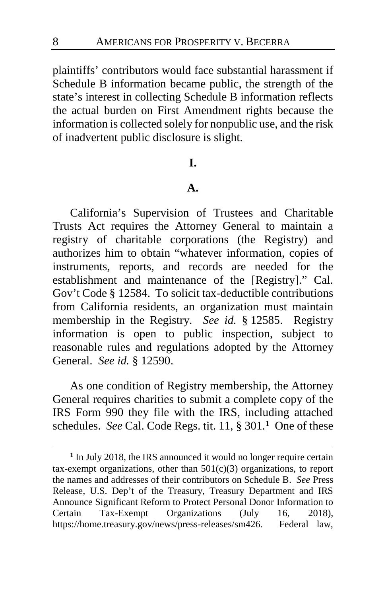plaintiffs' contributors would face substantial harassment if Schedule B information became public, the strength of the state's interest in collecting Schedule B information reflects the actual burden on First Amendment rights because the information is collected solely for nonpublic use, and the risk of inadvertent public disclosure is slight.

### **I.**

### **A.**

California's Supervision of Trustees and Charitable Trusts Act requires the Attorney General to maintain a registry of charitable corporations (the Registry) and authorizes him to obtain "whatever information, copies of instruments, reports, and records are needed for the establishment and maintenance of the [Registry]." Cal. Gov't Code § 12584. To solicit tax-deductible contributions from California residents, an organization must maintain membership in the Registry. *See id.* § 12585.Registry information is open to public inspection, subject to reasonable rules and regulations adopted by the Attorney General. *See id.* § 12590.

As one condition of Registry membership, the Attorney General requires charities to submit a complete copy of the IRS Form 990 they file with the IRS, including attached schedules. *See* Cal. Code Regs. tit. 11, § 301.**[1](#page-7-0)** One of these

<span id="page-7-0"></span>**<sup>1</sup>** In July 2018, the IRS announced it would no longer require certain tax-exempt organizations, other than  $501(c)(3)$  organizations, to report the names and addresses of their contributors on Schedule B. *See* Press Release, U.S. Dep't of the Treasury, Treasury Department and IRS Announce Significant Reform to Protect Personal Donor Information to Certain Tax-Exempt Organizations (July 16, 2018), https://home.treasury.gov/news/press-releases/sm426. Federal law,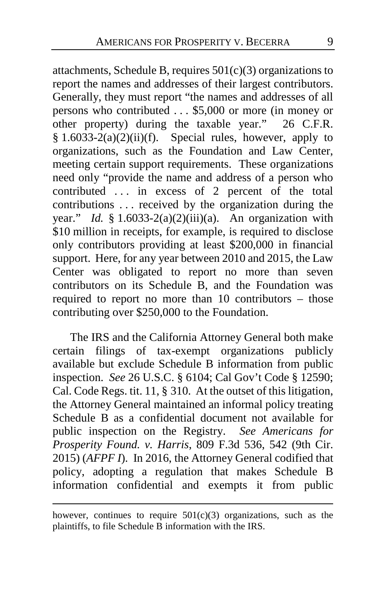attachments, Schedule B, requires  $501(c)(3)$  organizations to report the names and addresses of their largest contributors. Generally, they must report "the names and addresses of all persons who contributed . . . \$5,000 or more (in money or other property) during the taxable year." 26 C.F.R. § 1.6033-2(a)(2)(ii)(f). Special rules, however, apply to organizations, such as the Foundation and Law Center, meeting certain support requirements. These organizations need only "provide the name and address of a person who contributed ... in excess of 2 percent of the total contributions . . . received by the organization during the year." *Id.* § 1.6033-2(a)(2)(iii)(a). An organization with \$10 million in receipts, for example, is required to disclose only contributors providing at least \$200,000 in financial support. Here, for any year between 2010 and 2015, the Law Center was obligated to report no more than seven contributors on its Schedule B, and the Foundation was required to report no more than 10 contributors – those contributing over \$250,000 to the Foundation.

The IRS and the California Attorney General both make certain filings of tax-exempt organizations publicly available but exclude Schedule B information from public inspection. *See* 26 U.S.C. § 6104; Cal Gov't Code § 12590; Cal. Code Regs. tit. 11, § 310. At the outset of this litigation, the Attorney General maintained an informal policy treating Schedule B as a confidential document not available for public inspection on the Registry. *See Americans for Prosperity Found. v. Harris*, 809 F.3d 536, 542 (9th Cir. 2015) (*AFPF I*). In 2016, the Attorney General codified that policy, adopting a regulation that makes Schedule B information confidential and exempts it from public

however, continues to require  $501(c)(3)$  organizations, such as the plaintiffs, to file Schedule B information with the IRS.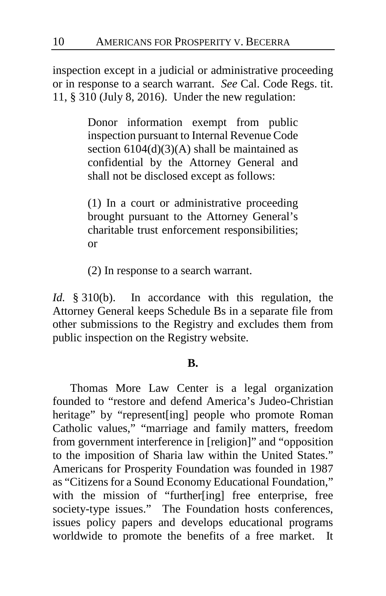inspection except in a judicial or administrative proceeding or in response to a search warrant. *See* Cal. Code Regs. tit. 11, § 310 (July 8, 2016). Under the new regulation:

> Donor information exempt from public inspection pursuant to Internal Revenue Code section  $6104(d)(3)(A)$  shall be maintained as confidential by the Attorney General and shall not be disclosed except as follows:

> (1) In a court or administrative proceeding brought pursuant to the Attorney General's charitable trust enforcement responsibilities; or

(2) In response to a search warrant.

*Id.* § 310(b). In accordance with this regulation, the Attorney General keeps Schedule Bs in a separate file from other submissions to the Registry and excludes them from public inspection on the Registry website.

## **B.**

Thomas More Law Center is a legal organization founded to "restore and defend America's Judeo-Christian heritage" by "represent[ing] people who promote Roman Catholic values," "marriage and family matters, freedom from government interference in [religion]" and "opposition to the imposition of Sharia law within the United States." Americans for Prosperity Foundation was founded in 1987 as "Citizens for a Sound Economy Educational Foundation," with the mission of "further[ing] free enterprise, free society-type issues." The Foundation hosts conferences, issues policy papers and develops educational programs worldwide to promote the benefits of a free market. It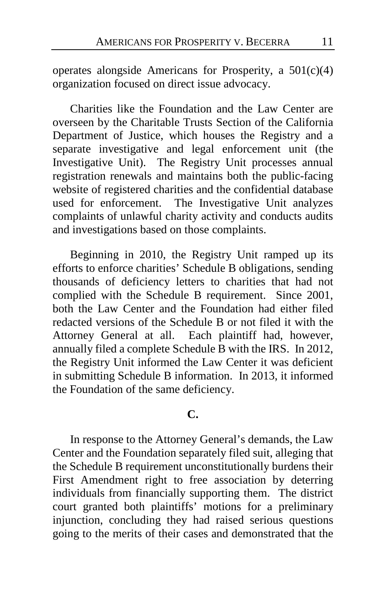operates alongside Americans for Prosperity, a 501(c)(4) organization focused on direct issue advocacy.

Charities like the Foundation and the Law Center are overseen by the Charitable Trusts Section of the California Department of Justice, which houses the Registry and a separate investigative and legal enforcement unit (the Investigative Unit). The Registry Unit processes annual registration renewals and maintains both the public-facing website of registered charities and the confidential database used for enforcement. The Investigative Unit analyzes complaints of unlawful charity activity and conducts audits and investigations based on those complaints.

Beginning in 2010, the Registry Unit ramped up its efforts to enforce charities' Schedule B obligations, sending thousands of deficiency letters to charities that had not complied with the Schedule B requirement. Since 2001, both the Law Center and the Foundation had either filed redacted versions of the Schedule B or not filed it with the Attorney General at all. Each plaintiff had, however, annually filed a complete Schedule B with the IRS.In 2012, the Registry Unit informed the Law Center it was deficient in submitting Schedule B information. In 2013, it informed the Foundation of the same deficiency.

### **C.**

In response to the Attorney General's demands, the Law Center and the Foundation separately filed suit, alleging that the Schedule B requirement unconstitutionally burdens their First Amendment right to free association by deterring individuals from financially supporting them. The district court granted both plaintiffs' motions for a preliminary injunction, concluding they had raised serious questions going to the merits of their cases and demonstrated that the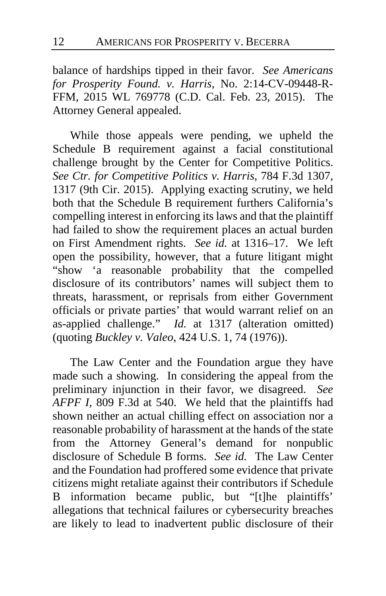balance of hardships tipped in their favor. *See Americans for Prosperity Found. v. Harris*, No. 2:14-CV-09448-R-FFM, 2015 WL 769778 (C.D. Cal. Feb. 23, 2015). The Attorney General appealed.

While those appeals were pending, we upheld the Schedule B requirement against a facial constitutional challenge brought by the Center for Competitive Politics. *See Ctr. for Competitive Politics v. Harris*, 784 F.3d 1307, 1317 (9th Cir. 2015). Applying exacting scrutiny, we held both that the Schedule B requirement furthers California's compelling interest in enforcing its laws and that the plaintiff had failed to show the requirement places an actual burden on First Amendment rights. *See id.* at 1316–17. We left open the possibility, however, that a future litigant might "show 'a reasonable probability that the compelled disclosure of its contributors' names will subject them to threats, harassment, or reprisals from either Government officials or private parties' that would warrant relief on an as-applied challenge." *Id.* at 1317 (alteration omitted) (quoting *Buckley v. Valeo*, 424 U.S. 1, 74 (1976)).

The Law Center and the Foundation argue they have made such a showing. In considering the appeal from the preliminary injunction in their favor, we disagreed. *See AFPF I*, 809 F.3d at 540.We held that the plaintiffs had shown neither an actual chilling effect on association nor a reasonable probability of harassment at the hands of the state from the Attorney General's demand for nonpublic disclosure of Schedule B forms. *See id.* The Law Center and the Foundation had proffered some evidence that private citizens might retaliate against their contributors if Schedule B information became public, but "[t]he plaintiffs' allegations that technical failures or cybersecurity breaches are likely to lead to inadvertent public disclosure of their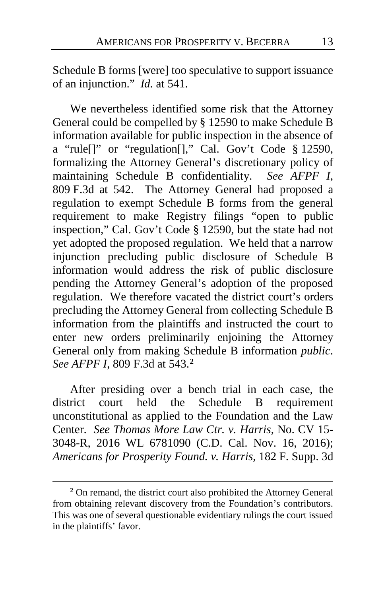Schedule B forms [were] too speculative to support issuance of an injunction." *Id.* at 541.

We nevertheless identified some risk that the Attorney General could be compelled by § 12590 to make Schedule B information available for public inspection in the absence of a "rule[]" or "regulation[]," Cal. Gov't Code § 12590, formalizing the Attorney General's discretionary policy of maintaining Schedule B confidentiality. *See AFPF I*, 809 F.3d at 542. The Attorney General had proposed a regulation to exempt Schedule B forms from the general requirement to make Registry filings "open to public inspection," Cal. Gov't Code § 12590, but the state had not yet adopted the proposed regulation. We held that a narrow injunction precluding public disclosure of Schedule B information would address the risk of public disclosure pending the Attorney General's adoption of the proposed regulation. We therefore vacated the district court's orders precluding the Attorney General from collecting Schedule B information from the plaintiffs and instructed the court to enter new orders preliminarily enjoining the Attorney General only from making Schedule B information *public*. *See AFPF I*, 809 F.3d at 543.**[2](#page-12-0)**

After presiding over a bench trial in each case, the district court held the Schedule B requirement unconstitutional as applied to the Foundation and the Law Center. *See Thomas More Law Ctr. v. Harris*, No. CV 15- 3048-R, 2016 WL 6781090 (C.D. Cal. Nov. 16, 2016); *Americans for Prosperity Found. v. Harris*, 182 F. Supp. 3d

<span id="page-12-0"></span>**<sup>2</sup>** On remand, the district court also prohibited the Attorney General from obtaining relevant discovery from the Foundation's contributors. This was one of several questionable evidentiary rulings the court issued in the plaintiffs' favor.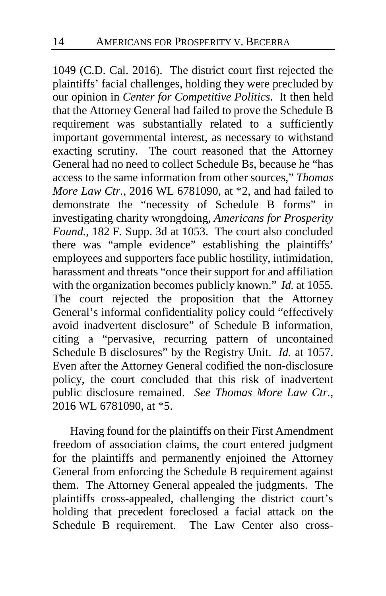1049 (C.D. Cal. 2016). The district court first rejected the plaintiffs' facial challenges, holding they were precluded by our opinion in *Center for Competitive Politics*. It then held that the Attorney General had failed to prove the Schedule B requirement was substantially related to a sufficiently important governmental interest, as necessary to withstand exacting scrutiny. The court reasoned that the Attorney General had no need to collect Schedule Bs, because he "has access to the same information from other sources," *Thomas More Law Ctr.*, 2016 WL 6781090, at \*2, and had failed to demonstrate the "necessity of Schedule B forms" in investigating charity wrongdoing, *Americans for Prosperity Found.*, 182 F. Supp. 3d at 1053. The court also concluded there was "ample evidence" establishing the plaintiffs' employees and supporters face public hostility, intimidation, harassment and threats "once their support for and affiliation with the organization becomes publicly known." *Id.* at 1055. The court rejected the proposition that the Attorney General's informal confidentiality policy could "effectively avoid inadvertent disclosure" of Schedule B information, citing a "pervasive, recurring pattern of uncontained Schedule B disclosures" by the Registry Unit. *Id.* at 1057. Even after the Attorney General codified the non-disclosure policy, the court concluded that this risk of inadvertent public disclosure remained. *See Thomas More Law Ctr.*, 2016 WL 6781090, at \*5.

Having found for the plaintiffs on their First Amendment freedom of association claims, the court entered judgment for the plaintiffs and permanently enjoined the Attorney General from enforcing the Schedule B requirement against them. The Attorney General appealed the judgments. The plaintiffs cross-appealed, challenging the district court's holding that precedent foreclosed a facial attack on the Schedule B requirement. The Law Center also cross-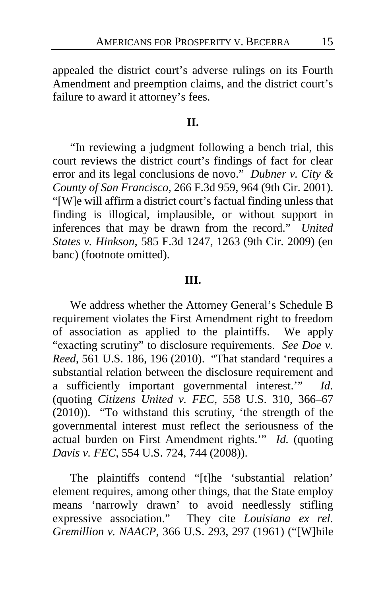appealed the district court's adverse rulings on its Fourth Amendment and preemption claims, and the district court's failure to award it attorney's fees.

### **II.**

"In reviewing a judgment following a bench trial, this court reviews the district court's findings of fact for clear error and its legal conclusions de novo." *Dubner v. City & County of San Francisco*, 266 F.3d 959, 964 (9th Cir. 2001). "[W]e will affirm a district court's factual finding unless that finding is illogical, implausible, or without support in inferences that may be drawn from the record." *United States v. Hinkson*, 585 F.3d 1247, 1263 (9th Cir. 2009) (en banc) (footnote omitted).

#### **III.**

We address whether the Attorney General's Schedule B requirement violates the First Amendment right to freedom of association as applied to the plaintiffs. We apply "exacting scrutiny" to disclosure requirements. *See Doe v. Reed*, 561 U.S. 186, 196 (2010). "That standard 'requires a substantial relation between the disclosure requirement and a sufficiently important governmental interest.'" *Id.* (quoting *Citizens United v. FEC*, 558 U.S. 310, 366–67 (2010)). "To withstand this scrutiny, 'the strength of the governmental interest must reflect the seriousness of the actual burden on First Amendment rights.'" *Id.* (quoting *Davis v. FEC*, 554 U.S. 724, 744 (2008)).

The plaintiffs contend "[t]he 'substantial relation' element requires, among other things, that the State employ means 'narrowly drawn' to avoid needlessly stifling expressive association." They cite *Louisiana ex rel. Gremillion v. NAACP*, 366 U.S. 293, 297 (1961) ("[W]hile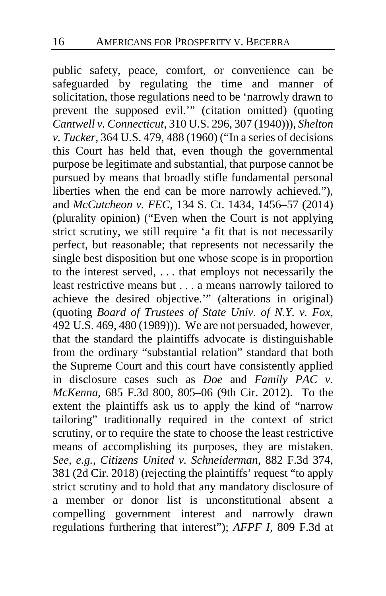public safety, peace, comfort, or convenience can be safeguarded by regulating the time and manner of solicitation, those regulations need to be 'narrowly drawn to prevent the supposed evil.'" (citation omitted) (quoting *Cantwell v. Connecticut*, 310 U.S. 296, 307 (1940))), *Shelton v. Tucker*, 364 U.S. 479, 488 (1960) ("In a series of decisions this Court has held that, even though the governmental purpose be legitimate and substantial, that purpose cannot be pursued by means that broadly stifle fundamental personal liberties when the end can be more narrowly achieved."), and *McCutcheon v. FEC*, 134 S. Ct. 1434, 1456–57 (2014) (plurality opinion) ("Even when the Court is not applying strict scrutiny, we still require 'a fit that is not necessarily perfect, but reasonable; that represents not necessarily the single best disposition but one whose scope is in proportion to the interest served, ... that employs not necessarily the least restrictive means but . . . a means narrowly tailored to achieve the desired objective.'" (alterations in original) (quoting *Board of Trustees of State Univ. of N.Y. v. Fox*, 492 U.S. 469, 480 (1989))). We are not persuaded, however, that the standard the plaintiffs advocate is distinguishable from the ordinary "substantial relation" standard that both the Supreme Court and this court have consistently applied in disclosure cases such as *Doe* and *Family PAC v. McKenna*, 685 F.3d 800, 805–06 (9th Cir. 2012). To the extent the plaintiffs ask us to apply the kind of "narrow tailoring" traditionally required in the context of strict scrutiny, or to require the state to choose the least restrictive means of accomplishing its purposes, they are mistaken. *See, e.g.*, *Citizens United v. Schneiderman*, 882 F.3d 374, 381 (2d Cir. 2018) (rejecting the plaintiffs' request "to apply strict scrutiny and to hold that any mandatory disclosure of a member or donor list is unconstitutional absent a compelling government interest and narrowly drawn regulations furthering that interest"); *AFPF I*, 809 F.3d at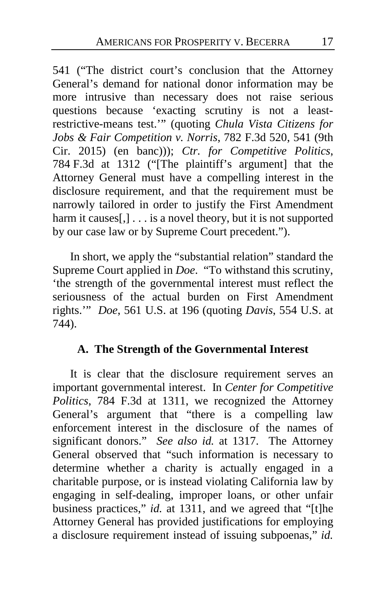541 ("The district court's conclusion that the Attorney General's demand for national donor information may be more intrusive than necessary does not raise serious questions because 'exacting scrutiny is not a leastrestrictive-means test.'" (quoting *Chula Vista Citizens for Jobs & Fair Competition v. Norris*, 782 F.3d 520, 541 (9th Cir. 2015) (en banc))); *Ctr. for Competitive Politics*, 784 F.3d at 1312 ("[The plaintiff's argument] that the Attorney General must have a compelling interest in the disclosure requirement, and that the requirement must be narrowly tailored in order to justify the First Amendment harm it causes[,] . . . is a novel theory, but it is not supported by our case law or by Supreme Court precedent.").

In short, we apply the "substantial relation" standard the Supreme Court applied in *Doe*. "To withstand this scrutiny, 'the strength of the governmental interest must reflect the seriousness of the actual burden on First Amendment rights.'" *Doe*, 561 U.S. at 196 (quoting *Davis*, 554 U.S. at 744).

## **A. The Strength of the Governmental Interest**

It is clear that the disclosure requirement serves an important governmental interest. In *Center for Competitive Politics*, 784 F.3d at 1311, we recognized the Attorney General's argument that "there is a compelling law enforcement interest in the disclosure of the names of significant donors." *See also id.* at 1317. The Attorney General observed that "such information is necessary to determine whether a charity is actually engaged in a charitable purpose, or is instead violating California law by engaging in self-dealing, improper loans, or other unfair business practices," *id.* at 1311, and we agreed that "[t]he Attorney General has provided justifications for employing a disclosure requirement instead of issuing subpoenas," *id.*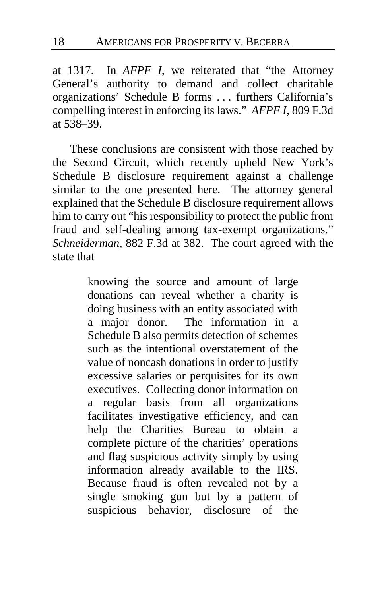at 1317. In *AFPF I*, we reiterated that "the Attorney General's authority to demand and collect charitable organizations' Schedule B forms . . . furthers California's compelling interest in enforcing its laws." *AFPF I*, 809 F.3d at 538–39.

These conclusions are consistent with those reached by the Second Circuit, which recently upheld New York's Schedule B disclosure requirement against a challenge similar to the one presented here. The attorney general explained that the Schedule B disclosure requirement allows him to carry out "his responsibility to protect the public from fraud and self-dealing among tax-exempt organizations." *Schneiderman*, 882 F.3d at 382. The court agreed with the state that

> knowing the source and amount of large donations can reveal whether a charity is doing business with an entity associated with a major donor. The information in a Schedule B also permits detection of schemes such as the intentional overstatement of the value of noncash donations in order to justify excessive salaries or perquisites for its own executives. Collecting donor information on a regular basis from all organizations facilitates investigative efficiency, and can help the Charities Bureau to obtain a complete picture of the charities' operations and flag suspicious activity simply by using information already available to the IRS. Because fraud is often revealed not by a single smoking gun but by a pattern of suspicious behavior, disclosure of the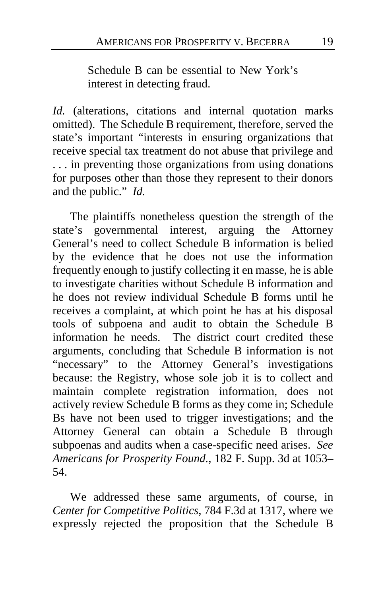Schedule B can be essential to New York's interest in detecting fraud.

*Id.* (alterations, citations and internal quotation marks omitted). The Schedule B requirement, therefore, served the state's important "interests in ensuring organizations that receive special tax treatment do not abuse that privilege and . . . in preventing those organizations from using donations for purposes other than those they represent to their donors and the public." *Id.*

The plaintiffs nonetheless question the strength of the state's governmental interest, arguing the Attorney General's need to collect Schedule B information is belied by the evidence that he does not use the information frequently enough to justify collecting it en masse, he is able to investigate charities without Schedule B information and he does not review individual Schedule B forms until he receives a complaint, at which point he has at his disposal tools of subpoena and audit to obtain the Schedule B information he needs. The district court credited these arguments, concluding that Schedule B information is not "necessary" to the Attorney General's investigations because: the Registry, whose sole job it is to collect and maintain complete registration information, does not actively review Schedule B forms as they come in; Schedule Bs have not been used to trigger investigations; and the Attorney General can obtain a Schedule B through subpoenas and audits when a case-specific need arises. *See Americans for Prosperity Found.*, 182 F. Supp. 3d at 1053– 54.

We addressed these same arguments, of course, in *Center for Competitive Politics*, 784 F.3d at 1317, where we expressly rejected the proposition that the Schedule B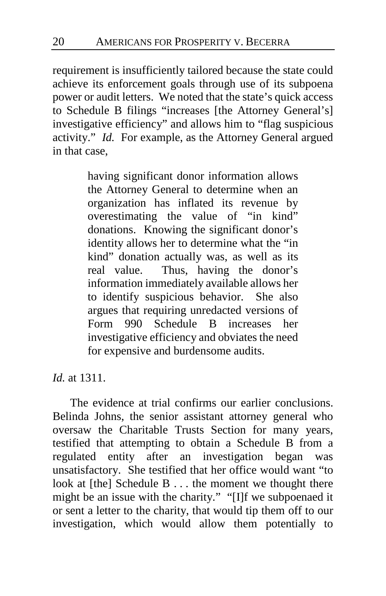requirement is insufficiently tailored because the state could achieve its enforcement goals through use of its subpoena power or audit letters. We noted that the state's quick access to Schedule B filings "increases [the Attorney General's] investigative efficiency" and allows him to "flag suspicious activity." *Id.* For example, as the Attorney General argued in that case,

> having significant donor information allows the Attorney General to determine when an organization has inflated its revenue by overestimating the value of "in kind" donations. Knowing the significant donor's identity allows her to determine what the "in kind" donation actually was, as well as its real value. Thus, having the donor's information immediately available allows her to identify suspicious behavior. She also argues that requiring unredacted versions of Form 990 Schedule B increases her investigative efficiency and obviates the need for expensive and burdensome audits.

*Id.* at 1311.

The evidence at trial confirms our earlier conclusions. Belinda Johns, the senior assistant attorney general who oversaw the Charitable Trusts Section for many years, testified that attempting to obtain a Schedule B from a regulated entity after an investigation began was unsatisfactory. She testified that her office would want "to look at [the] Schedule B . . . the moment we thought there might be an issue with the charity." "[I]f we subpoenaed it or sent a letter to the charity, that would tip them off to our investigation, which would allow them potentially to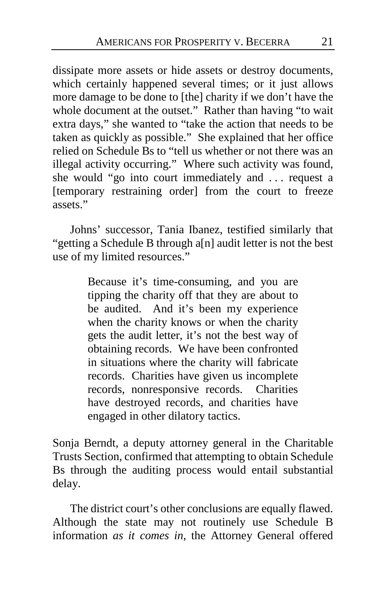dissipate more assets or hide assets or destroy documents, which certainly happened several times; or it just allows more damage to be done to [the] charity if we don't have the whole document at the outset." Rather than having "to wait extra days," she wanted to "take the action that needs to be taken as quickly as possible." She explained that her office relied on Schedule Bs to "tell us whether or not there was an illegal activity occurring." Where such activity was found, she would "go into court immediately and . . . request a [temporary restraining order] from the court to freeze assets."

Johns' successor, Tania Ibanez, testified similarly that "getting a Schedule B through a[n] audit letter is not the best use of my limited resources."

> Because it's time-consuming, and you are tipping the charity off that they are about to be audited. And it's been my experience when the charity knows or when the charity gets the audit letter, it's not the best way of obtaining records. We have been confronted in situations where the charity will fabricate records. Charities have given us incomplete records, nonresponsive records. Charities have destroyed records, and charities have engaged in other dilatory tactics.

Sonja Berndt, a deputy attorney general in the Charitable Trusts Section, confirmed that attempting to obtain Schedule Bs through the auditing process would entail substantial delay.

The district court's other conclusions are equally flawed. Although the state may not routinely use Schedule B information *as it comes in*, the Attorney General offered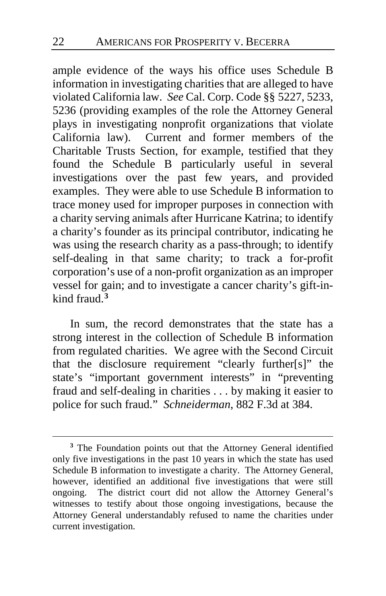ample evidence of the ways his office uses Schedule B information in investigating charities that are alleged to have violated California law. *See* Cal. Corp. Code §§ 5227, 5233, 5236 (providing examples of the role the Attorney General plays in investigating nonprofit organizations that violate California law). Current and former members of the Charitable Trusts Section, for example, testified that they found the Schedule B particularly useful in several investigations over the past few years, and provided examples. They were able to use Schedule B information to trace money used for improper purposes in connection with a charity serving animals after Hurricane Katrina; to identify a charity's founder as its principal contributor, indicating he was using the research charity as a pass-through; to identify self-dealing in that same charity; to track a for-profit corporation's use of a non-profit organization as an improper vessel for gain; and to investigate a cancer charity's gift-inkind fraud.**[3](#page-21-0)**

In sum, the record demonstrates that the state has a strong interest in the collection of Schedule B information from regulated charities. We agree with the Second Circuit that the disclosure requirement "clearly further[s]" the state's "important government interests" in "preventing fraud and self-dealing in charities . . . by making it easier to police for such fraud." *Schneiderman*, 882 F.3d at 384.

<span id="page-21-0"></span>**<sup>3</sup>** The Foundation points out that the Attorney General identified only five investigations in the past 10 years in which the state has used Schedule B information to investigate a charity. The Attorney General, however, identified an additional five investigations that were still ongoing. The district court did not allow the Attorney General's witnesses to testify about those ongoing investigations, because the Attorney General understandably refused to name the charities under current investigation.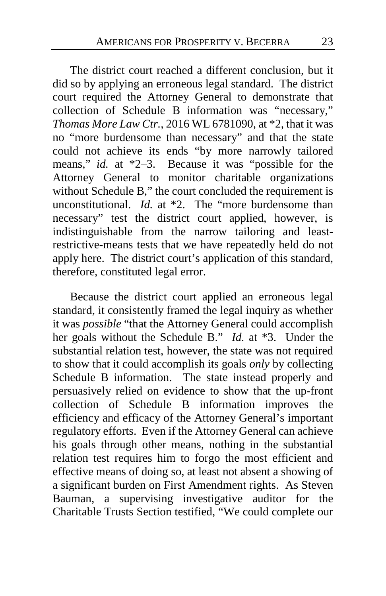The district court reached a different conclusion, but it did so by applying an erroneous legal standard. The district court required the Attorney General to demonstrate that collection of Schedule B information was "necessary," *Thomas More Law Ctr.*, 2016 WL 6781090, at \*2, that it was no "more burdensome than necessary" and that the state could not achieve its ends "by more narrowly tailored means," *id.* at \*2–3. Because it was "possible for the Attorney General to monitor charitable organizations without Schedule B," the court concluded the requirement is unconstitutional. *Id.* at \*2. The "more burdensome than necessary" test the district court applied, however, is indistinguishable from the narrow tailoring and leastrestrictive-means tests that we have repeatedly held do not apply here. The district court's application of this standard, therefore, constituted legal error.

Because the district court applied an erroneous legal standard, it consistently framed the legal inquiry as whether it was *possible* "that the Attorney General could accomplish her goals without the Schedule B." *Id.* at \*3. Under the substantial relation test, however, the state was not required to show that it could accomplish its goals *only* by collecting Schedule B information. The state instead properly and persuasively relied on evidence to show that the up-front collection of Schedule B information improves the efficiency and efficacy of the Attorney General's important regulatory efforts. Even if the Attorney General can achieve his goals through other means, nothing in the substantial relation test requires him to forgo the most efficient and effective means of doing so, at least not absent a showing of a significant burden on First Amendment rights. As Steven Bauman, a supervising investigative auditor for the Charitable Trusts Section testified, "We could complete our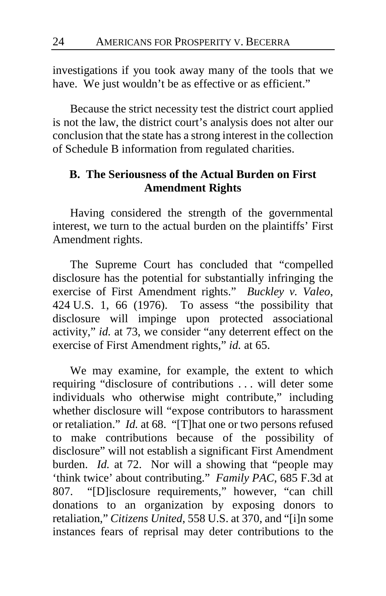investigations if you took away many of the tools that we have. We just wouldn't be as effective or as efficient."

Because the strict necessity test the district court applied is not the law, the district court's analysis does not alter our conclusion that the state has a strong interest in the collection of Schedule B information from regulated charities.

## **B. The Seriousness of the Actual Burden on First Amendment Rights**

Having considered the strength of the governmental interest, we turn to the actual burden on the plaintiffs' First Amendment rights.

The Supreme Court has concluded that "compelled disclosure has the potential for substantially infringing the exercise of First Amendment rights." *Buckley v. Valeo*, 424 U.S. 1, 66 (1976). To assess "the possibility that disclosure will impinge upon protected associational activity," *id.* at 73, we consider "any deterrent effect on the exercise of First Amendment rights," *id.* at 65.

We may examine, for example, the extent to which requiring "disclosure of contributions . . . will deter some individuals who otherwise might contribute," including whether disclosure will "expose contributors to harassment or retaliation." *Id.* at 68. "[T]hat one or two persons refused to make contributions because of the possibility of disclosure" will not establish a significant First Amendment burden. *Id.* at 72. Nor will a showing that "people may 'think twice' about contributing." *Family PAC*, 685 F.3d at 807. "[D]isclosure requirements," however, "can chill donations to an organization by exposing donors to retaliation," *Citizens United*, 558 U.S. at 370, and "[i]n some instances fears of reprisal may deter contributions to the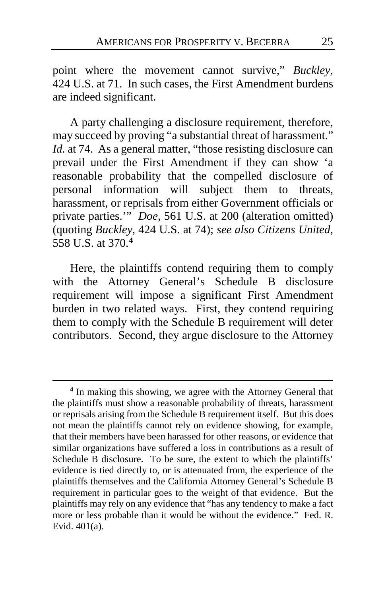point where the movement cannot survive," *Buckley*, 424 U.S. at 71. In such cases, the First Amendment burdens are indeed significant.

A party challenging a disclosure requirement, therefore, may succeed by proving "a substantial threat of harassment." *Id.* at 74. As a general matter, "those resisting disclosure can prevail under the First Amendment if they can show 'a reasonable probability that the compelled disclosure of personal information will subject them to threats, harassment, or reprisals from either Government officials or private parties.'" *Doe*, 561 U.S. at 200 (alteration omitted) (quoting *Buckley*, 424 U.S. at 74); *see also Citizens United*, 558 U.S. at 370.**[4](#page-24-0)**

Here, the plaintiffs contend requiring them to comply with the Attorney General's Schedule B disclosure requirement will impose a significant First Amendment burden in two related ways. First, they contend requiring them to comply with the Schedule B requirement will deter contributors. Second, they argue disclosure to the Attorney

<span id="page-24-0"></span>**<sup>4</sup>** In making this showing, we agree with the Attorney General that the plaintiffs must show a reasonable probability of threats, harassment or reprisals arising from the Schedule B requirement itself. But this does not mean the plaintiffs cannot rely on evidence showing, for example, that their members have been harassed for other reasons, or evidence that similar organizations have suffered a loss in contributions as a result of Schedule B disclosure. To be sure, the extent to which the plaintiffs' evidence is tied directly to, or is attenuated from, the experience of the plaintiffs themselves and the California Attorney General's Schedule B requirement in particular goes to the weight of that evidence. But the plaintiffs may rely on any evidence that "has any tendency to make a fact more or less probable than it would be without the evidence." Fed. R. Evid. 401(a).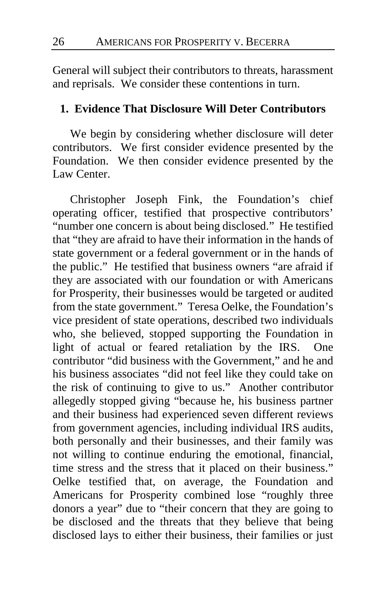General will subject their contributors to threats, harassment and reprisals. We consider these contentions in turn.

## **1. Evidence That Disclosure Will Deter Contributors**

We begin by considering whether disclosure will deter contributors. We first consider evidence presented by the Foundation. We then consider evidence presented by the Law Center.

Christopher Joseph Fink, the Foundation's chief operating officer, testified that prospective contributors' "number one concern is about being disclosed." He testified that "they are afraid to have their information in the hands of state government or a federal government or in the hands of the public." He testified that business owners "are afraid if they are associated with our foundation or with Americans for Prosperity, their businesses would be targeted or audited from the state government." Teresa Oelke, the Foundation's vice president of state operations, described two individuals who, she believed, stopped supporting the Foundation in light of actual or feared retaliation by the IRS. One contributor "did business with the Government," and he and his business associates "did not feel like they could take on the risk of continuing to give to us." Another contributor allegedly stopped giving "because he, his business partner and their business had experienced seven different reviews from government agencies, including individual IRS audits, both personally and their businesses, and their family was not willing to continue enduring the emotional, financial, time stress and the stress that it placed on their business." Oelke testified that, on average, the Foundation and Americans for Prosperity combined lose "roughly three donors a year" due to "their concern that they are going to be disclosed and the threats that they believe that being disclosed lays to either their business, their families or just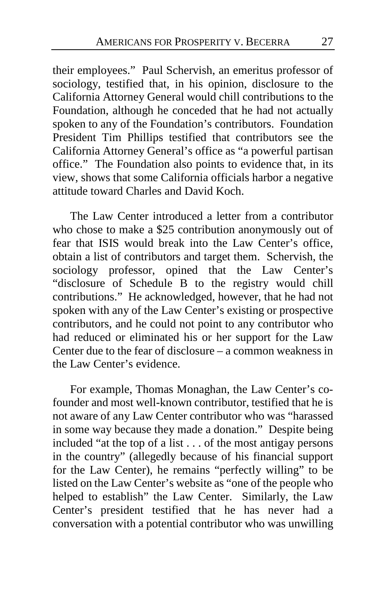their employees." Paul Schervish, an emeritus professor of sociology, testified that, in his opinion, disclosure to the California Attorney General would chill contributions to the Foundation, although he conceded that he had not actually spoken to any of the Foundation's contributors. Foundation President Tim Phillips testified that contributors see the California Attorney General's office as "a powerful partisan office." The Foundation also points to evidence that, in its view, shows that some California officials harbor a negative attitude toward Charles and David Koch.

The Law Center introduced a letter from a contributor who chose to make a \$25 contribution anonymously out of fear that ISIS would break into the Law Center's office, obtain a list of contributors and target them. Schervish, the sociology professor, opined that the Law Center's "disclosure of Schedule B to the registry would chill contributions." He acknowledged, however, that he had not spoken with any of the Law Center's existing or prospective contributors, and he could not point to any contributor who had reduced or eliminated his or her support for the Law Center due to the fear of disclosure – a common weakness in the Law Center's evidence.

For example, Thomas Monaghan, the Law Center's cofounder and most well-known contributor, testified that he is not aware of any Law Center contributor who was "harassed in some way because they made a donation." Despite being included "at the top of a list . . . of the most antigay persons in the country" (allegedly because of his financial support for the Law Center), he remains "perfectly willing" to be listed on the Law Center's website as "one of the people who helped to establish" the Law Center. Similarly, the Law Center's president testified that he has never had a conversation with a potential contributor who was unwilling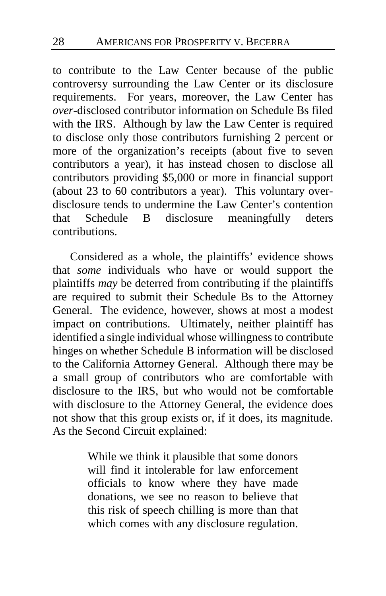to contribute to the Law Center because of the public controversy surrounding the Law Center or its disclosure requirements. For years, moreover, the Law Center has *over*-disclosed contributor information on Schedule Bs filed with the IRS. Although by law the Law Center is required to disclose only those contributors furnishing 2 percent or more of the organization's receipts (about five to seven contributors a year), it has instead chosen to disclose all contributors providing \$5,000 or more in financial support (about 23 to 60 contributors a year). This voluntary overdisclosure tends to undermine the Law Center's contention that Schedule B disclosure meaningfully deters contributions.

Considered as a whole, the plaintiffs' evidence shows that *some* individuals who have or would support the plaintiffs *may* be deterred from contributing if the plaintiffs are required to submit their Schedule Bs to the Attorney General. The evidence, however, shows at most a modest impact on contributions. Ultimately, neither plaintiff has identified a single individual whose willingness to contribute hinges on whether Schedule B information will be disclosed to the California Attorney General. Although there may be a small group of contributors who are comfortable with disclosure to the IRS, but who would not be comfortable with disclosure to the Attorney General, the evidence does not show that this group exists or, if it does, its magnitude. As the Second Circuit explained:

> While we think it plausible that some donors will find it intolerable for law enforcement officials to know where they have made donations, we see no reason to believe that this risk of speech chilling is more than that which comes with any disclosure regulation.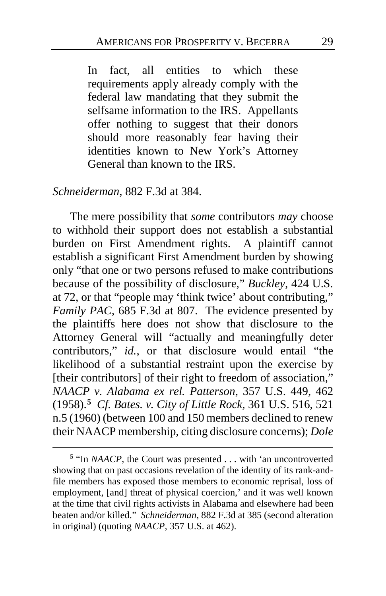In fact, all entities to which these requirements apply already comply with the federal law mandating that they submit the selfsame information to the IRS. Appellants offer nothing to suggest that their donors should more reasonably fear having their identities known to New York's Attorney General than known to the IRS.

### *Schneiderman*, 882 F.3d at 384.

 $\overline{a}$ 

The mere possibility that *some* contributors *may* choose to withhold their support does not establish a substantial burden on First Amendment rights. A plaintiff cannot establish a significant First Amendment burden by showing only "that one or two persons refused to make contributions because of the possibility of disclosure," *Buckley*, 424 U.S. at 72, or that "people may 'think twice' about contributing," *Family PAC*, 685 F.3d at 807. The evidence presented by the plaintiffs here does not show that disclosure to the Attorney General will "actually and meaningfully deter contributors," *id.*, or that disclosure would entail "the likelihood of a substantial restraint upon the exercise by [their contributors] of their right to freedom of association," *NAACP v. Alabama ex rel. Patterson*, 357 U.S. 449, 462 (1958).**[5](#page-28-0)** *Cf. Bates. v. City of Little Rock*, 361 U.S. 516, 521 n.5 (1960) (between 100 and 150 members declined to renew their NAACP membership, citing disclosure concerns); *Dole* 

<span id="page-28-0"></span>**<sup>5</sup>** "In *NAACP*, the Court was presented . . . with 'an uncontroverted showing that on past occasions revelation of the identity of its rank-andfile members has exposed those members to economic reprisal, loss of employment, [and] threat of physical coercion,' and it was well known at the time that civil rights activists in Alabama and elsewhere had been beaten and/or killed." *Schneiderman*, 882 F.3d at 385 (second alteration in original) (quoting *NAACP*, 357 U.S. at 462).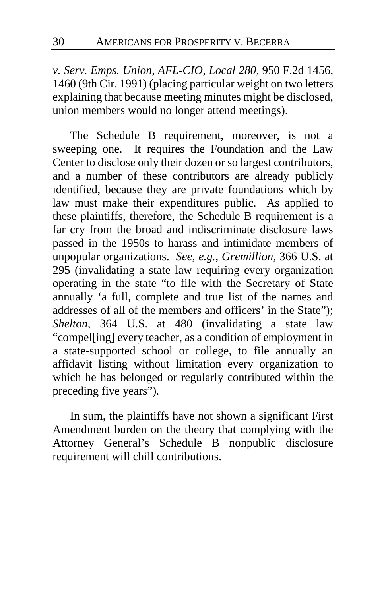*v. Serv. Emps. Union, AFL-CIO, Local 280*, 950 F.2d 1456, 1460 (9th Cir. 1991) (placing particular weight on two letters explaining that because meeting minutes might be disclosed, union members would no longer attend meetings).

The Schedule B requirement, moreover, is not a sweeping one. It requires the Foundation and the Law Center to disclose only their dozen or so largest contributors, and a number of these contributors are already publicly identified, because they are private foundations which by law must make their expenditures public. As applied to these plaintiffs, therefore, the Schedule B requirement is a far cry from the broad and indiscriminate disclosure laws passed in the 1950s to harass and intimidate members of unpopular organizations. *See, e.g.*, *Gremillion*, 366 U.S. at 295 (invalidating a state law requiring every organization operating in the state "to file with the Secretary of State annually 'a full, complete and true list of the names and addresses of all of the members and officers' in the State"); *Shelton*, 364 U.S. at 480 (invalidating a state law "compel[ing] every teacher, as a condition of employment in a state-supported school or college, to file annually an affidavit listing without limitation every organization to which he has belonged or regularly contributed within the preceding five years").

In sum, the plaintiffs have not shown a significant First Amendment burden on the theory that complying with the Attorney General's Schedule B nonpublic disclosure requirement will chill contributions.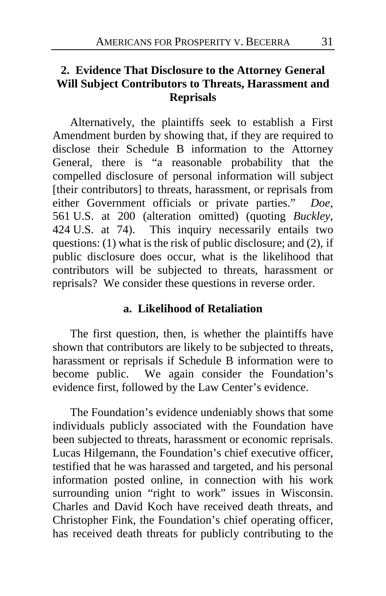## **2. Evidence That Disclosure to the Attorney General Will Subject Contributors to Threats, Harassment and Reprisals**

Alternatively, the plaintiffs seek to establish a First Amendment burden by showing that, if they are required to disclose their Schedule B information to the Attorney General, there is "a reasonable probability that the compelled disclosure of personal information will subject [their contributors] to threats, harassment, or reprisals from either Government officials or private parties." *Doe*, 561 U.S. at 200 (alteration omitted) (quoting *Buckley*, 424 U.S. at 74). This inquiry necessarily entails two questions: (1) what is the risk of public disclosure; and (2), if public disclosure does occur, what is the likelihood that contributors will be subjected to threats, harassment or reprisals? We consider these questions in reverse order.

### **a. Likelihood of Retaliation**

The first question, then, is whether the plaintiffs have shown that contributors are likely to be subjected to threats, harassment or reprisals if Schedule B information were to become public. We again consider the Foundation's evidence first, followed by the Law Center's evidence.

The Foundation's evidence undeniably shows that some individuals publicly associated with the Foundation have been subjected to threats, harassment or economic reprisals. Lucas Hilgemann, the Foundation's chief executive officer, testified that he was harassed and targeted, and his personal information posted online, in connection with his work surrounding union "right to work" issues in Wisconsin. Charles and David Koch have received death threats, and Christopher Fink, the Foundation's chief operating officer, has received death threats for publicly contributing to the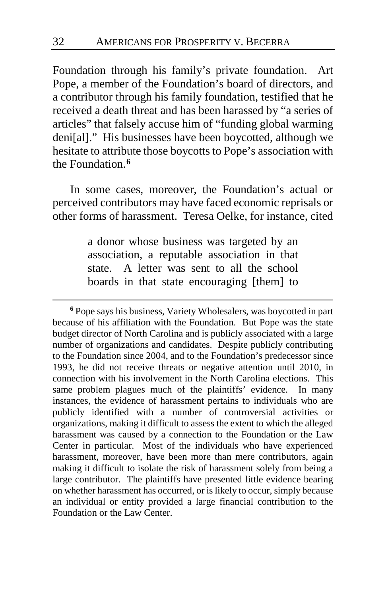Foundation through his family's private foundation. Art Pope, a member of the Foundation's board of directors, and a contributor through his family foundation, testified that he received a death threat and has been harassed by "a series of articles" that falsely accuse him of "funding global warming deni[al]." His businesses have been boycotted, although we hesitate to attribute those boycotts to Pope's association with the Foundation.**[6](#page-31-0)**

In some cases, moreover, the Foundation's actual or perceived contributors may have faced economic reprisals or other forms of harassment. Teresa Oelke, for instance, cited

> a donor whose business was targeted by an association, a reputable association in that state. A letter was sent to all the school boards in that state encouraging [them] to

<span id="page-31-0"></span>**<sup>6</sup>** Pope says his business, Variety Wholesalers, was boycotted in part because of his affiliation with the Foundation. But Pope was the state budget director of North Carolina and is publicly associated with a large number of organizations and candidates. Despite publicly contributing to the Foundation since 2004, and to the Foundation's predecessor since 1993, he did not receive threats or negative attention until 2010, in connection with his involvement in the North Carolina elections. This same problem plagues much of the plaintiffs' evidence. In many instances, the evidence of harassment pertains to individuals who are publicly identified with a number of controversial activities or organizations, making it difficult to assess the extent to which the alleged harassment was caused by a connection to the Foundation or the Law Center in particular. Most of the individuals who have experienced harassment, moreover, have been more than mere contributors, again making it difficult to isolate the risk of harassment solely from being a large contributor. The plaintiffs have presented little evidence bearing on whether harassment has occurred, or is likely to occur, simply because an individual or entity provided a large financial contribution to the Foundation or the Law Center.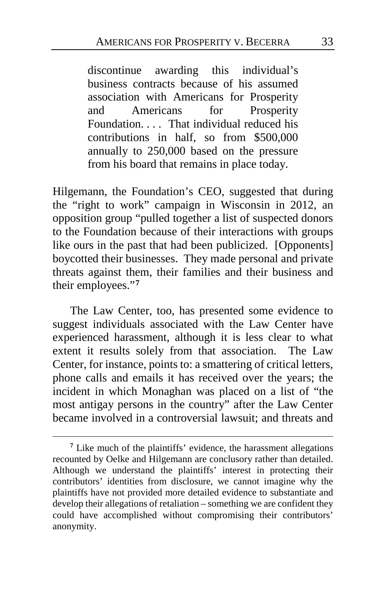discontinue awarding this individual's business contracts because of his assumed association with Americans for Prosperity and Americans for Prosperity Foundation. . . . That individual reduced his contributions in half, so from \$500,000 annually to 250,000 based on the pressure from his board that remains in place today.

Hilgemann, the Foundation's CEO, suggested that during the "right to work" campaign in Wisconsin in 2012, an opposition group "pulled together a list of suspected donors to the Foundation because of their interactions with groups like ours in the past that had been publicized. [Opponents] boycotted their businesses. They made personal and private threats against them, their families and their business and their employees."**[7](#page-32-0)**

The Law Center, too, has presented some evidence to suggest individuals associated with the Law Center have experienced harassment, although it is less clear to what extent it results solely from that association. The Law Center, for instance, points to: a smattering of critical letters, phone calls and emails it has received over the years; the incident in which Monaghan was placed on a list of "the most antigay persons in the country" after the Law Center became involved in a controversial lawsuit; and threats and

<span id="page-32-0"></span>**<sup>7</sup>** Like much of the plaintiffs' evidence, the harassment allegations recounted by Oelke and Hilgemann are conclusory rather than detailed. Although we understand the plaintiffs' interest in protecting their contributors' identities from disclosure, we cannot imagine why the plaintiffs have not provided more detailed evidence to substantiate and develop their allegations of retaliation – something we are confident they could have accomplished without compromising their contributors' anonymity.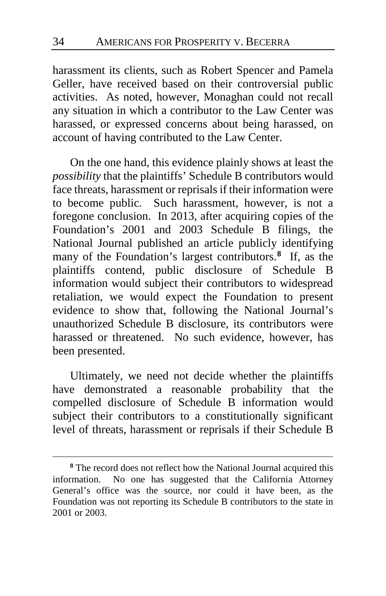harassment its clients, such as Robert Spencer and Pamela Geller, have received based on their controversial public activities. As noted, however, Monaghan could not recall any situation in which a contributor to the Law Center was harassed, or expressed concerns about being harassed, on account of having contributed to the Law Center.

On the one hand, this evidence plainly shows at least the *possibility* that the plaintiffs' Schedule B contributors would face threats, harassment or reprisals if their information were to become public. Such harassment, however, is not a foregone conclusion. In 2013, after acquiring copies of the Foundation's 2001 and 2003 Schedule B filings, the National Journal published an article publicly identifying many of the Foundation's largest contributors.**[8](#page-33-0)** If, as the plaintiffs contend, public disclosure of Schedule B information would subject their contributors to widespread retaliation, we would expect the Foundation to present evidence to show that, following the National Journal's unauthorized Schedule B disclosure, its contributors were harassed or threatened. No such evidence, however, has been presented.

Ultimately, we need not decide whether the plaintiffs have demonstrated a reasonable probability that the compelled disclosure of Schedule B information would subject their contributors to a constitutionally significant level of threats, harassment or reprisals if their Schedule B

<span id="page-33-0"></span>**<sup>8</sup>** The record does not reflect how the National Journal acquired this information. No one has suggested that the California Attorney General's office was the source, nor could it have been, as the Foundation was not reporting its Schedule B contributors to the state in 2001 or 2003.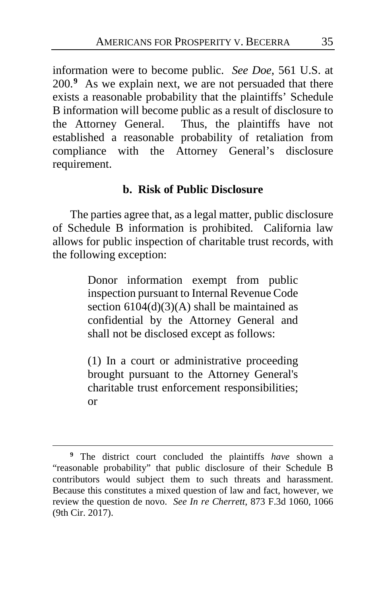information were to become public. *See Doe*, 561 U.S. at 200.**[9](#page-34-0)** As we explain next, we are not persuaded that there exists a reasonable probability that the plaintiffs' Schedule B information will become public as a result of disclosure to the Attorney General. Thus, the plaintiffs have not established a reasonable probability of retaliation from compliance with the Attorney General's disclosure requirement.

## **b. Risk of Public Disclosure**

The parties agree that, as a legal matter, public disclosure of Schedule B information is prohibited. California law allows for public inspection of charitable trust records, with the following exception:

> Donor information exempt from public inspection pursuant to Internal Revenue Code section  $6104(d)(3)(A)$  shall be maintained as confidential by the Attorney General and shall not be disclosed except as follows:

> (1) In a court or administrative proceeding brought pursuant to the Attorney General's charitable trust enforcement responsibilities; or

<span id="page-34-0"></span>**<sup>9</sup>** The district court concluded the plaintiffs *have* shown a "reasonable probability" that public disclosure of their Schedule B contributors would subject them to such threats and harassment. Because this constitutes a mixed question of law and fact, however, we review the question de novo. *See In re Cherrett*, 873 F.3d 1060, 1066 (9th Cir. 2017).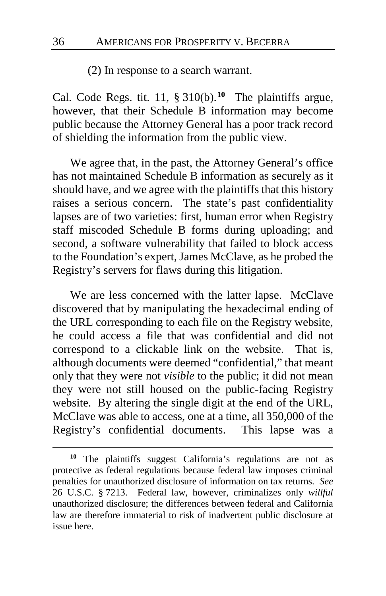(2) In response to a search warrant.

Cal. Code Regs. tit. 11, § 310(b).**[10](#page-35-0)** The plaintiffs argue, however, that their Schedule B information may become public because the Attorney General has a poor track record of shielding the information from the public view.

We agree that, in the past, the Attorney General's office has not maintained Schedule B information as securely as it should have, and we agree with the plaintiffs that this history raises a serious concern. The state's past confidentiality lapses are of two varieties: first, human error when Registry staff miscoded Schedule B forms during uploading; and second, a software vulnerability that failed to block access to the Foundation's expert, James McClave, as he probed the Registry's servers for flaws during this litigation.

We are less concerned with the latter lapse. McClave discovered that by manipulating the hexadecimal ending of the URL corresponding to each file on the Registry website, he could access a file that was confidential and did not correspond to a clickable link on the website. That is, although documents were deemed "confidential," that meant only that they were not *visible* to the public; it did not mean they were not still housed on the public-facing Registry website. By altering the single digit at the end of the URL, McClave was able to access, one at a time, all 350,000 of the Registry's confidential documents. This lapse was a

<span id="page-35-0"></span>**<sup>10</sup>** The plaintiffs suggest California's regulations are not as protective as federal regulations because federal law imposes criminal penalties for unauthorized disclosure of information on tax returns. *See* 26 U.S.C. § 7213. Federal law, however, criminalizes only *willful* unauthorized disclosure; the differences between federal and California law are therefore immaterial to risk of inadvertent public disclosure at issue here.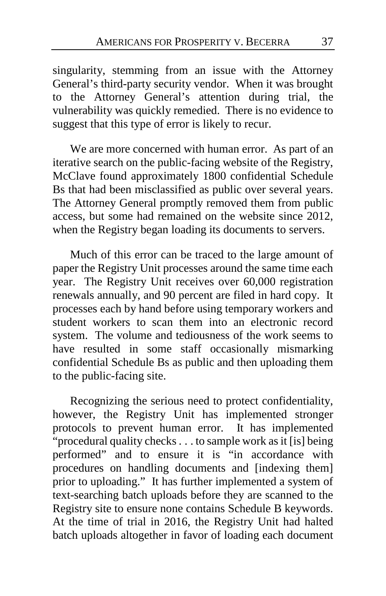singularity, stemming from an issue with the Attorney General's third-party security vendor. When it was brought to the Attorney General's attention during trial, the vulnerability was quickly remedied. There is no evidence to suggest that this type of error is likely to recur.

We are more concerned with human error. As part of an iterative search on the public-facing website of the Registry, McClave found approximately 1800 confidential Schedule Bs that had been misclassified as public over several years. The Attorney General promptly removed them from public access, but some had remained on the website since 2012, when the Registry began loading its documents to servers.

Much of this error can be traced to the large amount of paper the Registry Unit processes around the same time each year. The Registry Unit receives over 60,000 registration renewals annually, and 90 percent are filed in hard copy. It processes each by hand before using temporary workers and student workers to scan them into an electronic record system. The volume and tediousness of the work seems to have resulted in some staff occasionally mismarking confidential Schedule Bs as public and then uploading them to the public-facing site.

Recognizing the serious need to protect confidentiality, however, the Registry Unit has implemented stronger protocols to prevent human error. It has implemented "procedural quality checks . . . to sample work as it [is] being performed" and to ensure it is "in accordance with procedures on handling documents and [indexing them] prior to uploading." It has further implemented a system of text-searching batch uploads before they are scanned to the Registry site to ensure none contains Schedule B keywords. At the time of trial in 2016, the Registry Unit had halted batch uploads altogether in favor of loading each document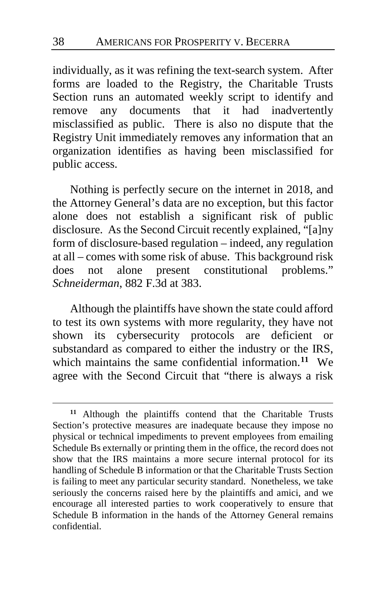individually, as it was refining the text-search system. After forms are loaded to the Registry, the Charitable Trusts Section runs an automated weekly script to identify and remove any documents that it had inadvertently misclassified as public. There is also no dispute that the Registry Unit immediately removes any information that an organization identifies as having been misclassified for public access.

Nothing is perfectly secure on the internet in 2018, and the Attorney General's data are no exception, but this factor alone does not establish a significant risk of public disclosure. As the Second Circuit recently explained, "[a]ny form of disclosure-based regulation – indeed, any regulation at all – comes with some risk of abuse. This background risk does not alone present constitutional problems." *Schneiderman*, 882 F.3d at 383.

Although the plaintiffs have shown the state could afford to test its own systems with more regularity, they have not shown its cybersecurity protocols are deficient or substandard as compared to either the industry or the IRS, which maintains the same confidential information.**[11](#page-37-0)** We agree with the Second Circuit that "there is always a risk

<span id="page-37-0"></span>**<sup>11</sup>** Although the plaintiffs contend that the Charitable Trusts Section's protective measures are inadequate because they impose no physical or technical impediments to prevent employees from emailing Schedule Bs externally or printing them in the office, the record does not show that the IRS maintains a more secure internal protocol for its handling of Schedule B information or that the Charitable Trusts Section is failing to meet any particular security standard. Nonetheless, we take seriously the concerns raised here by the plaintiffs and amici, and we encourage all interested parties to work cooperatively to ensure that Schedule B information in the hands of the Attorney General remains confidential.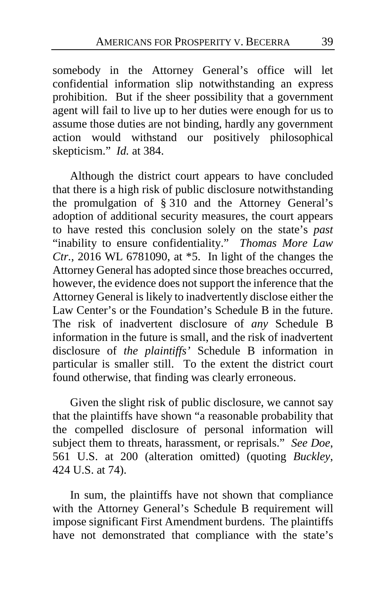somebody in the Attorney General's office will let confidential information slip notwithstanding an express prohibition. But if the sheer possibility that a government agent will fail to live up to her duties were enough for us to assume those duties are not binding, hardly any government action would withstand our positively philosophical skepticism." *Id.* at 384.

Although the district court appears to have concluded that there is a high risk of public disclosure notwithstanding the promulgation of § 310 and the Attorney General's adoption of additional security measures, the court appears to have rested this conclusion solely on the state's *past* "inability to ensure confidentiality." *Thomas More Law Ctr.*, 2016 WL 6781090, at \*5. In light of the changes the Attorney General has adopted since those breaches occurred, however, the evidence does not support the inference that the Attorney General is likely to inadvertently disclose either the Law Center's or the Foundation's Schedule B in the future. The risk of inadvertent disclosure of *any* Schedule B information in the future is small, and the risk of inadvertent disclosure of *the plaintiffs'* Schedule B information in particular is smaller still. To the extent the district court found otherwise, that finding was clearly erroneous.

Given the slight risk of public disclosure, we cannot say that the plaintiffs have shown "a reasonable probability that the compelled disclosure of personal information will subject them to threats, harassment, or reprisals." *See Doe*, 561 U.S. at 200 (alteration omitted) (quoting *Buckley*, 424 U.S. at 74).

In sum, the plaintiffs have not shown that compliance with the Attorney General's Schedule B requirement will impose significant First Amendment burdens. The plaintiffs have not demonstrated that compliance with the state's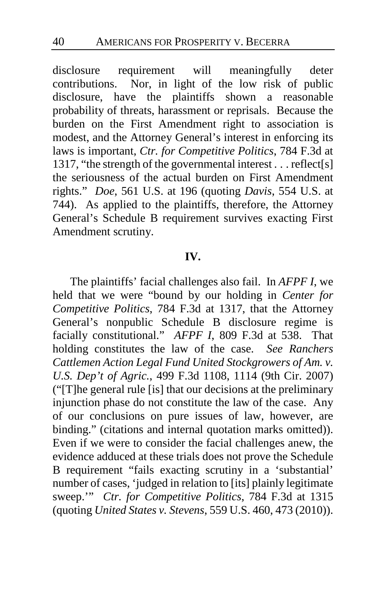disclosure requirement will meaningfully deter contributions. Nor, in light of the low risk of public disclosure, have the plaintiffs shown a reasonable probability of threats, harassment or reprisals. Because the burden on the First Amendment right to association is modest, and the Attorney General's interest in enforcing its laws is important, *Ctr. for Competitive Politics*, 784 F.3d at 1317, "the strength of the governmental interest . . . reflect[s] the seriousness of the actual burden on First Amendment rights." *Doe*, 561 U.S. at 196 (quoting *Davis*, 554 U.S. at 744). As applied to the plaintiffs, therefore, the Attorney General's Schedule B requirement survives exacting First Amendment scrutiny.

#### **IV.**

The plaintiffs' facial challenges also fail. In *AFPF I*, we held that we were "bound by our holding in *Center for Competitive Politics*, 784 F.3d at 1317, that the Attorney General's nonpublic Schedule B disclosure regime is facially constitutional." *AFPF I*, 809 F.3d at 538. That holding constitutes the law of the case. *See Ranchers Cattlemen Action Legal Fund United Stockgrowers of Am. v. U.S. Dep't of Agric.*, 499 F.3d 1108, 1114 (9th Cir. 2007) ("[T]he general rule [is] that our decisions at the preliminary injunction phase do not constitute the law of the case. Any of our conclusions on pure issues of law, however, are binding." (citations and internal quotation marks omitted)). Even if we were to consider the facial challenges anew, the evidence adduced at these trials does not prove the Schedule B requirement "fails exacting scrutiny in a 'substantial' number of cases, 'judged in relation to [its] plainly legitimate sweep.'" *Ctr. for Competitive Politics*, 784 F.3d at 1315 (quoting *United States v. Stevens*, 559 U.S. 460, 473 (2010)).